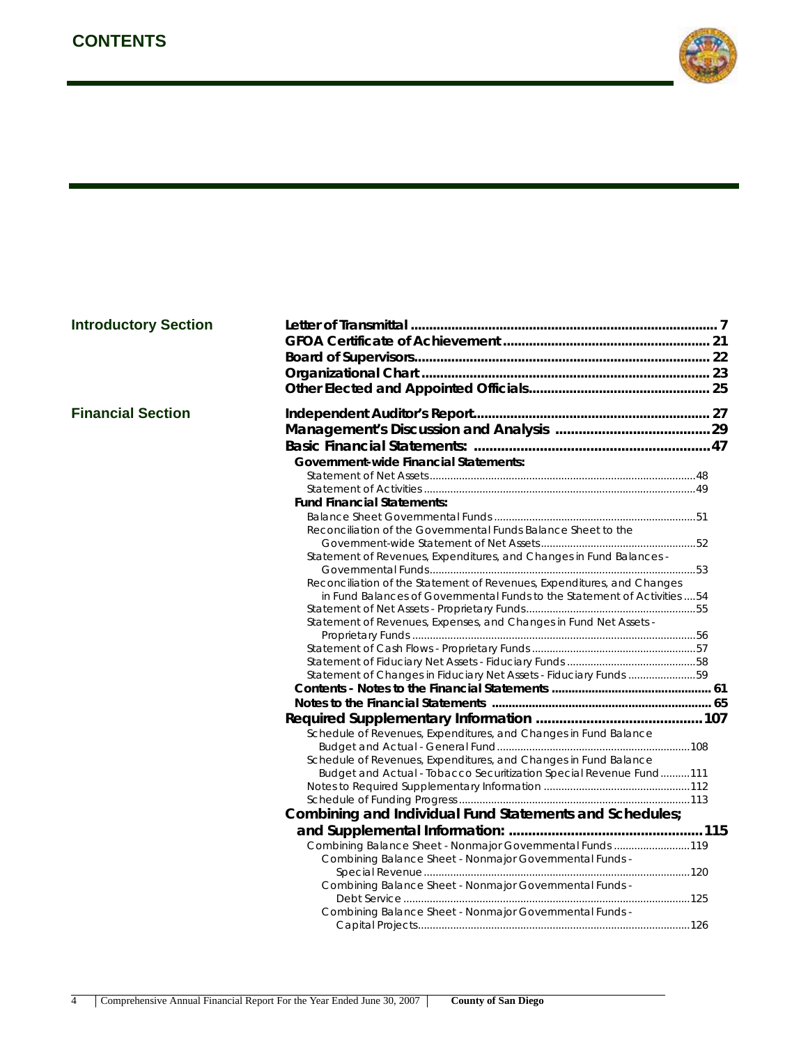

| <b>Introductory Section</b> |  |
|-----------------------------|--|
|-----------------------------|--|

|  |  |  | <b>Financial Section</b> |
|--|--|--|--------------------------|
|--|--|--|--------------------------|

| <b>Introductory Section</b> |                                                                           |  |
|-----------------------------|---------------------------------------------------------------------------|--|
|                             |                                                                           |  |
|                             |                                                                           |  |
|                             |                                                                           |  |
|                             |                                                                           |  |
|                             |                                                                           |  |
| <b>Financial Section</b>    |                                                                           |  |
|                             |                                                                           |  |
|                             |                                                                           |  |
|                             | <b>Government-wide Financial Statements:</b>                              |  |
|                             |                                                                           |  |
|                             |                                                                           |  |
|                             | <b>Fund Financial Statements:</b>                                         |  |
|                             |                                                                           |  |
|                             | Reconciliation of the Governmental Funds Balance Sheet to the             |  |
|                             |                                                                           |  |
|                             | Statement of Revenues, Expenditures, and Changes in Fund Balances -       |  |
|                             |                                                                           |  |
|                             | Reconciliation of the Statement of Revenues, Expenditures, and Changes    |  |
|                             | in Fund Balances of Governmental Funds to the Statement of Activities  54 |  |
|                             |                                                                           |  |
|                             | Statement of Revenues, Expenses, and Changes in Fund Net Assets -         |  |
|                             |                                                                           |  |
|                             |                                                                           |  |
|                             |                                                                           |  |
|                             | Statement of Changes in Fiduciary Net Assets - Fiduciary Funds 59         |  |
|                             |                                                                           |  |
|                             |                                                                           |  |
|                             |                                                                           |  |
|                             | Schedule of Revenues, Expenditures, and Changes in Fund Balance           |  |
|                             |                                                                           |  |
|                             | Schedule of Revenues, Expenditures, and Changes in Fund Balance           |  |
|                             | Budget and Actual - Tobacco Securitization Special Revenue Fund111        |  |
|                             |                                                                           |  |
|                             |                                                                           |  |
|                             | Combining and Individual Fund Statements and Schedules;                   |  |
|                             |                                                                           |  |
|                             | Combining Balance Sheet - Nonmajor Governmental Funds 119                 |  |
|                             | Combining Balance Sheet - Nonmajor Governmental Funds -                   |  |
|                             |                                                                           |  |
|                             | Combining Balance Sheet - Nonmajor Governmental Funds -                   |  |
|                             |                                                                           |  |
|                             | Combining Balance Sheet - Nonmajor Governmental Funds -                   |  |
|                             |                                                                           |  |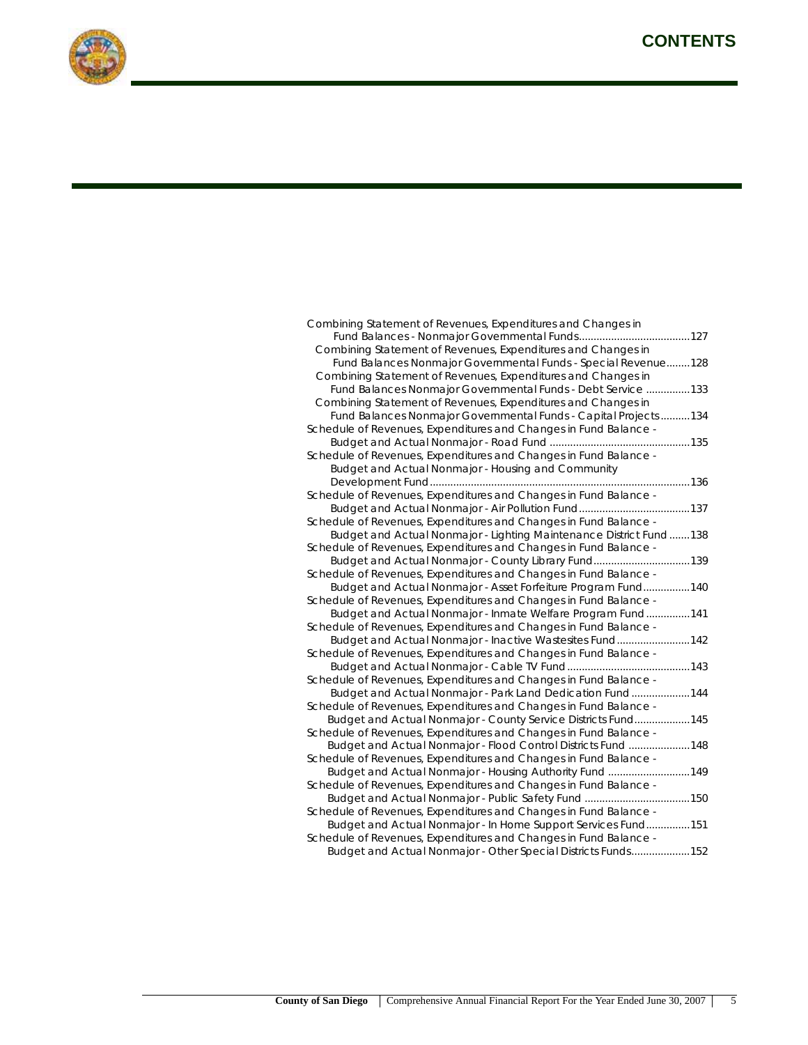

| Combining Statement of Revenues, Expenditures and Changes in       |
|--------------------------------------------------------------------|
|                                                                    |
| Combining Statement of Revenues, Expenditures and Changes in       |
| Fund Balances Nonmajor Governmental Funds - Special Revenue 128    |
| Combining Statement of Revenues, Expenditures and Changes in       |
| Fund Balances Nonmajor Governmental Funds - Debt Service  133      |
| Combining Statement of Revenues, Expenditures and Changes in       |
| Fund Balances Nonmajor Governmental Funds - Capital Projects 134   |
| Schedule of Revenues, Expenditures and Changes in Fund Balance -   |
|                                                                    |
| Schedule of Revenues, Expenditures and Changes in Fund Balance -   |
| Budget and Actual Nonmajor - Housing and Community                 |
|                                                                    |
| Schedule of Revenues, Expenditures and Changes in Fund Balance -   |
|                                                                    |
| Schedule of Revenues, Expenditures and Changes in Fund Balance -   |
| Budget and Actual Nonmajor - Lighting Maintenance District Fund138 |
| Schedule of Revenues, Expenditures and Changes in Fund Balance -   |
| Budget and Actual Nonmajor - County Library Fund139                |
| Schedule of Revenues, Expenditures and Changes in Fund Balance -   |
| Budget and Actual Nonmajor - Asset Forfeiture Program Fund140      |
| Schedule of Revenues, Expenditures and Changes in Fund Balance -   |
| Budget and Actual Nonmajor - Inmate Welfare Program Fund141        |
| Schedule of Revenues, Expenditures and Changes in Fund Balance -   |
| Budget and Actual Nonmajor - Inactive Wastesites Fund142           |
| Schedule of Revenues, Expenditures and Changes in Fund Balance -   |
|                                                                    |
| Schedule of Revenues, Expenditures and Changes in Fund Balance -   |
| Budget and Actual Nonmajor - Park Land Dedication Fund144          |
| Schedule of Revenues, Expenditures and Changes in Fund Balance -   |
| Budget and Actual Nonmajor - County Service Districts Fund145      |
| Schedule of Revenues, Expenditures and Changes in Fund Balance -   |
| Budget and Actual Nonmajor - Flood Control Districts Fund 148      |
| Schedule of Revenues, Expenditures and Changes in Fund Balance -   |
| Budget and Actual Nonmajor - Housing Authority Fund 149            |
| Schedule of Revenues, Expenditures and Changes in Fund Balance -   |
|                                                                    |
| Schedule of Revenues, Expenditures and Changes in Fund Balance -   |
| Budget and Actual Nonmajor - In Home Support Services Fund151      |
| Schedule of Revenues, Expenditures and Changes in Fund Balance -   |
| Budget and Actual Nonmajor - Other Special Districts Funds152      |